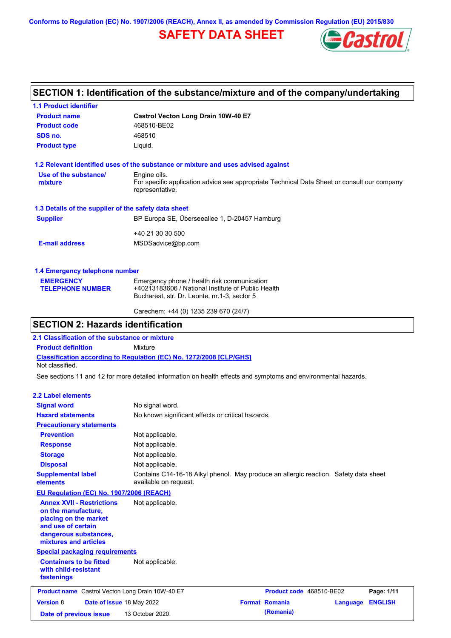**Conforms to Regulation (EC) No. 1907/2006 (REACH), Annex II, as amended by Commission Regulation (EU) 2015/830**

# **SAFETY DATA SHEET**



## **SECTION 1: Identification of the substance/mixture and of the company/undertaking**

| <b>1.1 Product identifier</b>                        |                                                                                                                |  |  |  |  |  |
|------------------------------------------------------|----------------------------------------------------------------------------------------------------------------|--|--|--|--|--|
| <b>Product name</b>                                  | Castrol Vecton Long Drain 10W-40 E7<br>468510-BE02                                                             |  |  |  |  |  |
| <b>Product code</b>                                  |                                                                                                                |  |  |  |  |  |
| SDS no.                                              | 468510                                                                                                         |  |  |  |  |  |
| <b>Product type</b>                                  | Liquid.                                                                                                        |  |  |  |  |  |
|                                                      | 1.2 Relevant identified uses of the substance or mixture and uses advised against                              |  |  |  |  |  |
| Use of the substance/                                | Engine oils.                                                                                                   |  |  |  |  |  |
| mixture                                              | For specific application advice see appropriate Technical Data Sheet or consult our company<br>representative. |  |  |  |  |  |
| 1.3 Details of the supplier of the safety data sheet |                                                                                                                |  |  |  |  |  |
| <b>Supplier</b>                                      | BP Europa SE, Überseeallee 1, D-20457 Hamburg                                                                  |  |  |  |  |  |
|                                                      | +40 21 30 30 500                                                                                               |  |  |  |  |  |
| <b>E-mail address</b>                                | MSDSadvice@bp.com                                                                                              |  |  |  |  |  |
| 1.4 Emergency telephone number                       |                                                                                                                |  |  |  |  |  |
| <b>EMERGENCY</b>                                     | Emergency phone / health risk communication                                                                    |  |  |  |  |  |
| <b>TELEPHONE NUMBER</b>                              | +40213183606 / National Institute of Public Health                                                             |  |  |  |  |  |
|                                                      | Bucharest, str. Dr. Leonte, nr.1-3, sector 5                                                                   |  |  |  |  |  |

Carechem: +44 (0) 1235 239 670 (24/7)

### **SECTION 2: Hazards identification**

**2.1 Classification of the substance or mixture**

**Product definition** Mixture

**Classification according to Regulation (EC) No. 1272/2008 [CLP/GHS]** Not classified.

See sections 11 and 12 for more detailed information on health effects and symptoms and environmental hazards.

#### **2.2 Label elements**

| <b>Signal word</b>                                                                                                                                       | No signal word.                                                                                               |                          |          |                |
|----------------------------------------------------------------------------------------------------------------------------------------------------------|---------------------------------------------------------------------------------------------------------------|--------------------------|----------|----------------|
| <b>Hazard statements</b>                                                                                                                                 | No known significant effects or critical hazards.                                                             |                          |          |                |
| <b>Precautionary statements</b>                                                                                                                          |                                                                                                               |                          |          |                |
| <b>Prevention</b>                                                                                                                                        | Not applicable.                                                                                               |                          |          |                |
| <b>Response</b>                                                                                                                                          | Not applicable.                                                                                               |                          |          |                |
| <b>Storage</b>                                                                                                                                           | Not applicable.                                                                                               |                          |          |                |
| <b>Disposal</b>                                                                                                                                          | Not applicable.                                                                                               |                          |          |                |
| <b>Supplemental label</b><br>elements                                                                                                                    | Contains C14-16-18 Alkyl phenol. May produce an allergic reaction. Safety data sheet<br>available on request. |                          |          |                |
| <b>EU Regulation (EC) No. 1907/2006 (REACH)</b>                                                                                                          |                                                                                                               |                          |          |                |
| <b>Annex XVII - Restrictions</b><br>on the manufacture,<br>placing on the market<br>and use of certain<br>dangerous substances,<br>mixtures and articles | Not applicable.                                                                                               |                          |          |                |
| <b>Special packaging requirements</b>                                                                                                                    |                                                                                                               |                          |          |                |
| <b>Containers to be fitted</b><br>with child-resistant<br>fastenings                                                                                     | Not applicable.                                                                                               |                          |          |                |
| Product name Castrol Vecton Long Drain 10W-40 E7                                                                                                         |                                                                                                               | Product code 468510-BE02 |          | Page: 1/11     |
| <b>Version 8</b><br>Date of issue 18 May 2022                                                                                                            |                                                                                                               | <b>Format Romania</b>    | Language | <b>ENGLISH</b> |
| Date of previous issue                                                                                                                                   | 13 October 2020.                                                                                              | (Romania)                |          |                |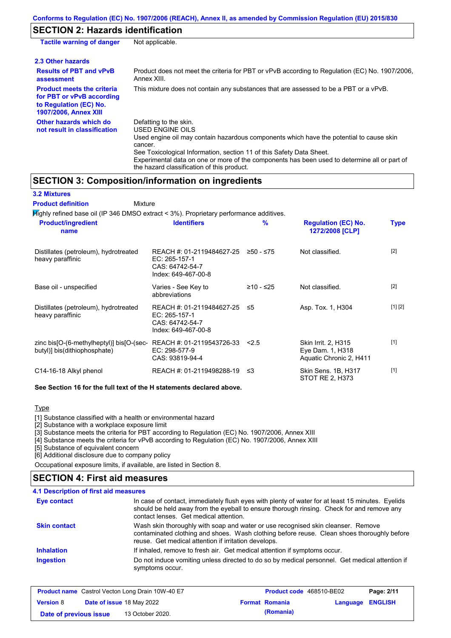# **SECTION 2: Hazards identification**

| <b>Tactile warning of danger</b>                                                                                         | Not applicable.                                                                                                                                                                                                                                                                                                                                                               |
|--------------------------------------------------------------------------------------------------------------------------|-------------------------------------------------------------------------------------------------------------------------------------------------------------------------------------------------------------------------------------------------------------------------------------------------------------------------------------------------------------------------------|
| 2.3 Other hazards                                                                                                        |                                                                                                                                                                                                                                                                                                                                                                               |
| <b>Results of PBT and vPvB</b><br>assessment                                                                             | Product does not meet the criteria for PBT or vPvB according to Regulation (EC) No. 1907/2006,<br>Annex XIII.                                                                                                                                                                                                                                                                 |
| <b>Product meets the criteria</b><br>for PBT or vPvB according<br>to Regulation (EC) No.<br><b>1907/2006, Annex XIII</b> | This mixture does not contain any substances that are assessed to be a PBT or a vPvB.                                                                                                                                                                                                                                                                                         |
| Other hazards which do<br>not result in classification                                                                   | Defatting to the skin.<br><b>USED ENGINE OILS</b><br>Used engine oil may contain hazardous components which have the potential to cause skin<br>cancer.<br>See Toxicological Information, section 11 of this Safety Data Sheet.<br>Experimental data on one or more of the components has been used to determine all or part of<br>the hazard classification of this product. |

### **SECTION 3: Composition/information on ingredients**

| <b>3.2 Mixtures</b>                                                                       |                                                                                      |           |                                                                    |             |
|-------------------------------------------------------------------------------------------|--------------------------------------------------------------------------------------|-----------|--------------------------------------------------------------------|-------------|
| <b>Product definition</b><br>Mixture                                                      |                                                                                      |           |                                                                    |             |
| $H$ ighly refined base oil (IP 346 DMSO extract < 3%). Proprietary performance additives. |                                                                                      |           |                                                                    |             |
| <b>Product/ingredient</b><br>name                                                         | <b>Identifiers</b>                                                                   | %         | <b>Regulation (EC) No.</b><br>1272/2008 [CLP]                      | <b>Type</b> |
| Distillates (petroleum), hydrotreated<br>heavy paraffinic                                 | REACH #: 01-2119484627-25<br>EC: 265-157-1<br>CAS: 64742-54-7<br>Index: 649-467-00-8 | ≥50 - ≤75 | Not classified.                                                    | $[2]$       |
| Base oil - unspecified                                                                    | Varies - See Key to<br>abbreviations                                                 | ≥10 - ≤25 | Not classified.                                                    | [2]         |
| Distillates (petroleum), hydrotreated<br>heavy paraffinic                                 | REACH #: 01-2119484627-25<br>EC: 265-157-1<br>CAS: 64742-54-7<br>Index: 649-467-00-8 | ≤5        | Asp. Tox. 1, H304                                                  | [1] [2]     |
| zinc bis[O-(6-methylheptyl)] bis[O-(sec-<br>butyl)] bis(dithiophosphate)                  | REACH #: 01-2119543726-33<br>EC: 298-577-9<br>CAS: 93819-94-4                        | 2.5       | Skin Irrit. 2, H315<br>Eye Dam. 1, H318<br>Aquatic Chronic 2, H411 | [1]         |
| C14-16-18 Alkyl phenol                                                                    | REACH #: 01-2119498288-19                                                            | -≤3       | Skin Sens. 1B, H317<br>STOT RE 2, H373                             | $[1]$       |

**See Section 16 for the full text of the H statements declared above.**

**Type** 

[1] Substance classified with a health or environmental hazard

[2] Substance with a workplace exposure limit

[3] Substance meets the criteria for PBT according to Regulation (EC) No. 1907/2006, Annex XIII

[4] Substance meets the criteria for vPvB according to Regulation (EC) No. 1907/2006, Annex XIII

[5] Substance of equivalent concern

[6] Additional disclosure due to company policy

Occupational exposure limits, if available, are listed in Section 8.

### **SECTION 4: First aid measures**

| 4.1 Description of first aid measures |                                                                                                                                                                                                                                         |
|---------------------------------------|-----------------------------------------------------------------------------------------------------------------------------------------------------------------------------------------------------------------------------------------|
| Eye contact                           | In case of contact, immediately flush eyes with plenty of water for at least 15 minutes. Eyelids<br>should be held away from the eyeball to ensure thorough rinsing. Check for and remove any<br>contact lenses. Get medical attention. |
| <b>Skin contact</b>                   | Wash skin thoroughly with soap and water or use recognised skin cleanser. Remove<br>contaminated clothing and shoes. Wash clothing before reuse. Clean shoes thoroughly before<br>reuse. Get medical attention if irritation develops.  |
| <b>Inhalation</b>                     | If inhaled, remove to fresh air. Get medical attention if symptoms occur.                                                                                                                                                               |
| <b>Ingestion</b>                      | Do not induce vomiting unless directed to do so by medical personnel. Get medical attention if<br>symptoms occur.                                                                                                                       |

|                        |                                  | <b>Product name</b> Castrol Vecton Long Drain 10W-40 E7 | <b>Product code</b> 468510-BE02 |                         | Page: 2/11 |
|------------------------|----------------------------------|---------------------------------------------------------|---------------------------------|-------------------------|------------|
| <b>Version 8</b>       | <b>Date of issue 18 May 2022</b> |                                                         | <b>Format Romania</b>           | <b>Language ENGLISH</b> |            |
| Date of previous issue |                                  | 13 October 2020.                                        | (Romania)                       |                         |            |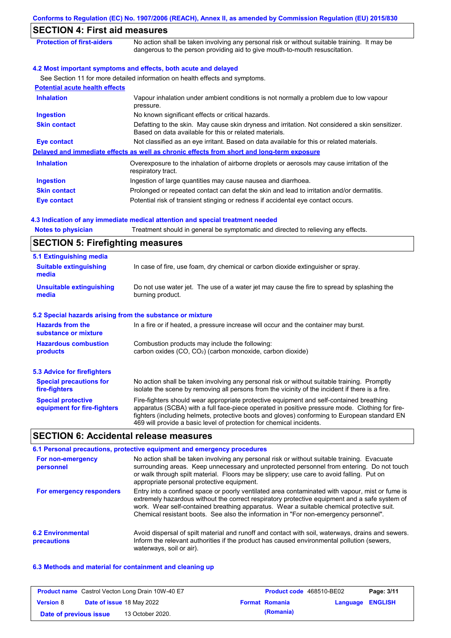|                                          | Conforms to Regulation (EC) No. 1907/2006 (REACH), Annex II, as amended by Commission Regulation (EU) 2015/830                                                              |
|------------------------------------------|-----------------------------------------------------------------------------------------------------------------------------------------------------------------------------|
| <b>SECTION 4: First aid measures</b>     |                                                                                                                                                                             |
| <b>Protection of first-aiders</b>        | No action shall be taken involving any personal risk or without suitable training. It may be<br>dangerous to the person providing aid to give mouth-to-mouth resuscitation. |
|                                          | 4.2 Most important symptoms and effects, both acute and delayed                                                                                                             |
|                                          | See Section 11 for more detailed information on health effects and symptoms.                                                                                                |
| <b>Potential acute health effects</b>    |                                                                                                                                                                             |
| <b>Inhalation</b>                        | Vapour inhalation under ambient conditions is not normally a problem due to low vapour<br>pressure.                                                                         |
| <b>Ingestion</b>                         | No known significant effects or critical hazards.                                                                                                                           |
| <b>Skin contact</b>                      | Defatting to the skin. May cause skin dryness and irritation. Not considered a skin sensitizer.<br>Based on data available for this or related materials.                   |
| <b>Eye contact</b>                       | Not classified as an eye irritant. Based on data available for this or related materials.                                                                                   |
|                                          | Delayed and immediate effects as well as chronic effects from short and long-term exposure                                                                                  |
| <b>Inhalation</b>                        | Overexposure to the inhalation of airborne droplets or aerosols may cause irritation of the<br>respiratory tract.                                                           |
| <b>Ingestion</b>                         | Ingestion of large quantities may cause nausea and diarrhoea.                                                                                                               |
| <b>Skin contact</b>                      | Prolonged or repeated contact can defat the skin and lead to irritation and/or dermatitis.                                                                                  |
| <b>Eye contact</b>                       | Potential risk of transient stinging or redness if accidental eye contact occurs.                                                                                           |
|                                          | 4.3 Indication of any immediate medical attention and special treatment needed                                                                                              |
| <b>Notes to physician</b>                | Treatment should in general be symptomatic and directed to relieving any effects.                                                                                           |
| <b>SECTION 5: Firefighting measures</b>  |                                                                                                                                                                             |
| 5.1 Extinguishing media                  |                                                                                                                                                                             |
| <b>Suitable extinguishing</b><br>media   | In case of fire, use foam, dry chemical or carbon dioxide extinguisher or spray.                                                                                            |
| <b>Unsuitable extinguishing</b><br>media | Do not use water jet. The use of a water jet may cause the fire to spread by splashing the<br>burning product.                                                              |
|                                          |                                                                                                                                                                             |

### **5.2 Special hazards arising from the substance or mixture**

| <b>Hazards from the</b><br>substance or mixture          | In a fire or if heated, a pressure increase will occur and the container may burst.                                                                                                                                                                                                                                                                               |
|----------------------------------------------------------|-------------------------------------------------------------------------------------------------------------------------------------------------------------------------------------------------------------------------------------------------------------------------------------------------------------------------------------------------------------------|
| <b>Hazardous combustion</b><br>products                  | Combustion products may include the following:<br>carbon oxides (CO, CO <sub>2</sub> ) (carbon monoxide, carbon dioxide)                                                                                                                                                                                                                                          |
| 5.3 Advice for firefighters                              |                                                                                                                                                                                                                                                                                                                                                                   |
| <b>Special precautions for</b><br>fire-fighters          | No action shall be taken involving any personal risk or without suitable training. Promptly<br>isolate the scene by removing all persons from the vicinity of the incident if there is a fire.                                                                                                                                                                    |
| <b>Special protective</b><br>equipment for fire-fighters | Fire-fighters should wear appropriate protective equipment and self-contained breathing<br>apparatus (SCBA) with a full face-piece operated in positive pressure mode. Clothing for fire-<br>fighters (including helmets, protective boots and gloves) conforming to European standard EN<br>469 will provide a basic level of protection for chemical incidents. |

# **SECTION 6: Accidental release measures**

| 6.1 Personal precautions, protective equipment and emergency procedures |                                                                                                                                                                                                                                                                                                                                                                                      |  |  |  |
|-------------------------------------------------------------------------|--------------------------------------------------------------------------------------------------------------------------------------------------------------------------------------------------------------------------------------------------------------------------------------------------------------------------------------------------------------------------------------|--|--|--|
| For non-emergency<br>personnel                                          | No action shall be taken involving any personal risk or without suitable training. Evacuate<br>surrounding areas. Keep unnecessary and unprotected personnel from entering. Do not touch<br>or walk through spilt material. Floors may be slippery; use care to avoid falling. Put on<br>appropriate personal protective equipment.                                                  |  |  |  |
| For emergency responders                                                | Entry into a confined space or poorly ventilated area contaminated with vapour, mist or fume is<br>extremely hazardous without the correct respiratory protective equipment and a safe system of<br>work. Wear self-contained breathing apparatus. Wear a suitable chemical protective suit.<br>Chemical resistant boots. See also the information in "For non-emergency personnel". |  |  |  |
| <b>6.2 Environmental</b><br>precautions                                 | Avoid dispersal of spilt material and runoff and contact with soil, waterways, drains and sewers.<br>Inform the relevant authorities if the product has caused environmental pollution (sewers,<br>waterways, soil or air).                                                                                                                                                          |  |  |  |

### **6.3 Methods and material for containment and cleaning up**

|                        | <b>Product name</b> Castrol Vecton Long Drain 10W-40 E7 | <b>Product code</b> 468510-BE02 |                         | Page: 3/11 |
|------------------------|---------------------------------------------------------|---------------------------------|-------------------------|------------|
| <b>Version 8</b>       | <b>Date of issue 18 May 2022</b>                        | <b>Format Romania</b>           | <b>Language ENGLISH</b> |            |
| Date of previous issue | 13 October 2020.                                        | (Romania)                       |                         |            |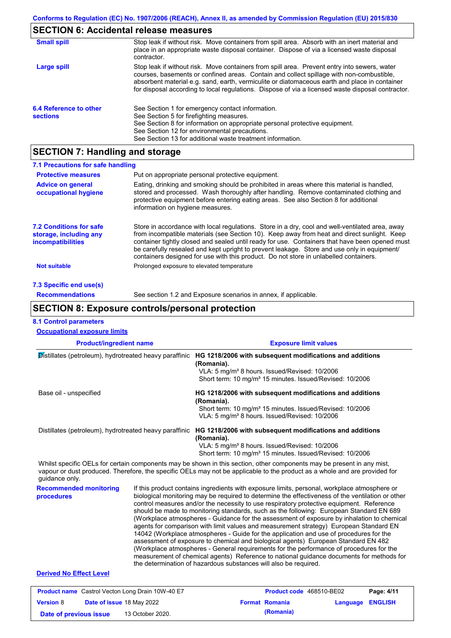# **SECTION 6: Accidental release measures**

| <b>Small spill</b>                        | Stop leak if without risk. Move containers from spill area. Absorb with an inert material and<br>place in an appropriate waste disposal container. Dispose of via a licensed waste disposal<br>contractor.                                                                                                                                                                                     |
|-------------------------------------------|------------------------------------------------------------------------------------------------------------------------------------------------------------------------------------------------------------------------------------------------------------------------------------------------------------------------------------------------------------------------------------------------|
| Large spill                               | Stop leak if without risk. Move containers from spill area. Prevent entry into sewers, water<br>courses, basements or confined areas. Contain and collect spillage with non-combustible,<br>absorbent material e.g. sand, earth, vermiculite or diatomaceous earth and place in container<br>for disposal according to local regulations. Dispose of via a licensed waste disposal contractor. |
| 6.4 Reference to other<br><b>sections</b> | See Section 1 for emergency contact information.<br>See Section 5 for firefighting measures.<br>See Section 8 for information on appropriate personal protective equipment.<br>See Section 12 for environmental precautions.<br>See Section 13 for additional waste treatment information.                                                                                                     |

# **SECTION 7: Handling and storage**

| 7.1 Precautions for safe handling                                             |                                                                                                                                                                                                                                                                                                                                                                                                                                                                                          |
|-------------------------------------------------------------------------------|------------------------------------------------------------------------------------------------------------------------------------------------------------------------------------------------------------------------------------------------------------------------------------------------------------------------------------------------------------------------------------------------------------------------------------------------------------------------------------------|
| <b>Protective measures</b>                                                    | Put on appropriate personal protective equipment.                                                                                                                                                                                                                                                                                                                                                                                                                                        |
| <b>Advice on general</b><br>occupational hygiene                              | Eating, drinking and smoking should be prohibited in areas where this material is handled,<br>stored and processed. Wash thoroughly after handling. Remove contaminated clothing and<br>protective equipment before entering eating areas. See also Section 8 for additional<br>information on hygiene measures.                                                                                                                                                                         |
| <b>7.2 Conditions for safe</b><br>storage, including any<br>incompatibilities | Store in accordance with local requlations. Store in a dry, cool and well-ventilated area, away<br>from incompatible materials (see Section 10). Keep away from heat and direct sunlight. Keep<br>container tightly closed and sealed until ready for use. Containers that have been opened must<br>be carefully resealed and kept upright to prevent leakage. Store and use only in equipment/<br>containers designed for use with this product. Do not store in unlabelled containers. |
| <b>Not suitable</b>                                                           | Prolonged exposure to elevated temperature                                                                                                                                                                                                                                                                                                                                                                                                                                               |
| 7.3 Specific end use(s)                                                       |                                                                                                                                                                                                                                                                                                                                                                                                                                                                                          |
| <b>Recommendations</b>                                                        | See section 1.2 and Exposure scenarios in annex, if applicable.                                                                                                                                                                                                                                                                                                                                                                                                                          |

### **SECTION 8: Exposure controls/personal protection**

### **8.1 Control parameters**

**Version** 8

| <b>Occupational exposure limits</b>                     |  |                                                                                                                                                                                                                                                                                                                                                                                                                                                                                                                                                                                                                                                                                                                                                                                                                                                                                                                                                                                                                            |  |  |  |  |
|---------------------------------------------------------|--|----------------------------------------------------------------------------------------------------------------------------------------------------------------------------------------------------------------------------------------------------------------------------------------------------------------------------------------------------------------------------------------------------------------------------------------------------------------------------------------------------------------------------------------------------------------------------------------------------------------------------------------------------------------------------------------------------------------------------------------------------------------------------------------------------------------------------------------------------------------------------------------------------------------------------------------------------------------------------------------------------------------------------|--|--|--|--|
| <b>Product/ingredient name</b>                          |  | <b>Exposure limit values</b>                                                                                                                                                                                                                                                                                                                                                                                                                                                                                                                                                                                                                                                                                                                                                                                                                                                                                                                                                                                               |  |  |  |  |
| Distillates (petroleum), hydrotreated heavy paraffinic  |  | HG 1218/2006 with subsequent modifications and additions<br>(Romania).<br>VLA: 5 mg/m <sup>3</sup> 8 hours. Issued/Revised: 10/2006<br>Short term: 10 mg/m <sup>3</sup> 15 minutes. Issued/Revised: 10/2006                                                                                                                                                                                                                                                                                                                                                                                                                                                                                                                                                                                                                                                                                                                                                                                                                |  |  |  |  |
| Base oil - unspecified                                  |  | HG 1218/2006 with subsequent modifications and additions<br>(Romania).<br>Short term: 10 mg/m <sup>3</sup> 15 minutes. Issued/Revised: 10/2006<br>VLA: 5 mg/m <sup>3</sup> 8 hours. Issued/Revised: 10/2006                                                                                                                                                                                                                                                                                                                                                                                                                                                                                                                                                                                                                                                                                                                                                                                                                |  |  |  |  |
|                                                         |  | Distillates (petroleum), hydrotreated heavy paraffinic HG 1218/2006 with subsequent modifications and additions<br>(Romania).<br>VLA: 5 mg/m <sup>3</sup> 8 hours. Issued/Revised: 10/2006<br>Short term: 10 mg/m <sup>3</sup> 15 minutes. Issued/Revised: 10/2006                                                                                                                                                                                                                                                                                                                                                                                                                                                                                                                                                                                                                                                                                                                                                         |  |  |  |  |
| guidance only.                                          |  | Whilst specific OELs for certain components may be shown in this section, other components may be present in any mist,<br>vapour or dust produced. Therefore, the specific OELs may not be applicable to the product as a whole and are provided for                                                                                                                                                                                                                                                                                                                                                                                                                                                                                                                                                                                                                                                                                                                                                                       |  |  |  |  |
| <b>Recommended monitoring</b><br>procedures             |  | If this product contains ingredients with exposure limits, personal, workplace atmosphere or<br>biological monitoring may be required to determine the effectiveness of the ventilation or other<br>control measures and/or the necessity to use respiratory protective equipment. Reference<br>should be made to monitoring standards, such as the following: European Standard EN 689<br>(Workplace atmospheres - Guidance for the assessment of exposure by inhalation to chemical<br>agents for comparison with limit values and measurement strategy) European Standard EN<br>14042 (Workplace atmospheres - Guide for the application and use of procedures for the<br>assessment of exposure to chemical and biological agents) European Standard EN 482<br>(Workplace atmospheres - General requirements for the performance of procedures for the<br>measurement of chemical agents) Reference to national guidance documents for methods for<br>the determination of hazardous substances will also be required. |  |  |  |  |
| <b>Derived No Effect Level</b>                          |  |                                                                                                                                                                                                                                                                                                                                                                                                                                                                                                                                                                                                                                                                                                                                                                                                                                                                                                                                                                                                                            |  |  |  |  |
| <b>Product name</b> Castrol Vecton Long Drain 10W-40 E7 |  | Page: 4/11<br>Product code 468510-BE02                                                                                                                                                                                                                                                                                                                                                                                                                                                                                                                                                                                                                                                                                                                                                                                                                                                                                                                                                                                     |  |  |  |  |

**Date of issue** 18 May 2022 **Format Romania Language ENGLISH**

**Date of previous issue (Romania)** 13 October 2020.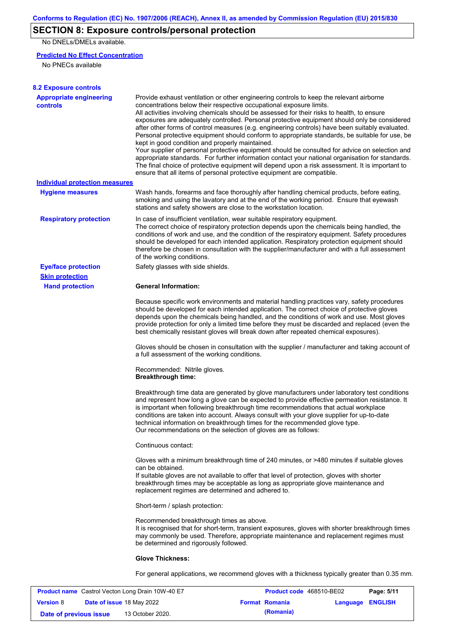# **SECTION 8: Exposure controls/personal protection**

No DNELs/DMELs available.

### **Predicted No Effect Concentration**

No PNECs available

| <b>8.2 Exposure controls</b>                      |                                                                                                                                                                                                                                                                                                                                                                                                                                                                                                                                                                                                                                                                                                                                                                                                                                                                                                                                                                                                         |
|---------------------------------------------------|---------------------------------------------------------------------------------------------------------------------------------------------------------------------------------------------------------------------------------------------------------------------------------------------------------------------------------------------------------------------------------------------------------------------------------------------------------------------------------------------------------------------------------------------------------------------------------------------------------------------------------------------------------------------------------------------------------------------------------------------------------------------------------------------------------------------------------------------------------------------------------------------------------------------------------------------------------------------------------------------------------|
| <b>Appropriate engineering</b><br><b>controls</b> | Provide exhaust ventilation or other engineering controls to keep the relevant airborne<br>concentrations below their respective occupational exposure limits.<br>All activities involving chemicals should be assessed for their risks to health, to ensure<br>exposures are adequately controlled. Personal protective equipment should only be considered<br>after other forms of control measures (e.g. engineering controls) have been suitably evaluated.<br>Personal protective equipment should conform to appropriate standards, be suitable for use, be<br>kept in good condition and properly maintained.<br>Your supplier of personal protective equipment should be consulted for advice on selection and<br>appropriate standards. For further information contact your national organisation for standards.<br>The final choice of protective equipment will depend upon a risk assessment. It is important to<br>ensure that all items of personal protective equipment are compatible. |
| <b>Individual protection measures</b>             |                                                                                                                                                                                                                                                                                                                                                                                                                                                                                                                                                                                                                                                                                                                                                                                                                                                                                                                                                                                                         |
| <b>Hygiene measures</b>                           | Wash hands, forearms and face thoroughly after handling chemical products, before eating,<br>smoking and using the lavatory and at the end of the working period. Ensure that eyewash<br>stations and safety showers are close to the workstation location.                                                                                                                                                                                                                                                                                                                                                                                                                                                                                                                                                                                                                                                                                                                                             |
| <b>Respiratory protection</b>                     | In case of insufficient ventilation, wear suitable respiratory equipment.<br>The correct choice of respiratory protection depends upon the chemicals being handled, the<br>conditions of work and use, and the condition of the respiratory equipment. Safety procedures<br>should be developed for each intended application. Respiratory protection equipment should<br>therefore be chosen in consultation with the supplier/manufacturer and with a full assessment<br>of the working conditions.                                                                                                                                                                                                                                                                                                                                                                                                                                                                                                   |
| <b>Eye/face protection</b>                        | Safety glasses with side shields.                                                                                                                                                                                                                                                                                                                                                                                                                                                                                                                                                                                                                                                                                                                                                                                                                                                                                                                                                                       |
| <b>Skin protection</b>                            |                                                                                                                                                                                                                                                                                                                                                                                                                                                                                                                                                                                                                                                                                                                                                                                                                                                                                                                                                                                                         |
| <b>Hand protection</b>                            | <b>General Information:</b>                                                                                                                                                                                                                                                                                                                                                                                                                                                                                                                                                                                                                                                                                                                                                                                                                                                                                                                                                                             |
|                                                   | Because specific work environments and material handling practices vary, safety procedures<br>should be developed for each intended application. The correct choice of protective gloves<br>depends upon the chemicals being handled, and the conditions of work and use. Most gloves<br>provide protection for only a limited time before they must be discarded and replaced (even the<br>best chemically resistant gloves will break down after repeated chemical exposures).                                                                                                                                                                                                                                                                                                                                                                                                                                                                                                                        |
|                                                   | Gloves should be chosen in consultation with the supplier / manufacturer and taking account of<br>a full assessment of the working conditions.                                                                                                                                                                                                                                                                                                                                                                                                                                                                                                                                                                                                                                                                                                                                                                                                                                                          |
|                                                   | Recommended: Nitrile gloves.<br><b>Breakthrough time:</b>                                                                                                                                                                                                                                                                                                                                                                                                                                                                                                                                                                                                                                                                                                                                                                                                                                                                                                                                               |
|                                                   | Breakthrough time data are generated by glove manufacturers under laboratory test conditions<br>and represent how long a glove can be expected to provide effective permeation resistance. It<br>is important when following breakthrough time recommendations that actual workplace<br>conditions are taken into account. Always consult with your glove supplier for up-to-date<br>technical information on breakthrough times for the recommended glove type.<br>Our recommendations on the selection of gloves are as follows:                                                                                                                                                                                                                                                                                                                                                                                                                                                                      |
|                                                   | Continuous contact:                                                                                                                                                                                                                                                                                                                                                                                                                                                                                                                                                                                                                                                                                                                                                                                                                                                                                                                                                                                     |
|                                                   | Gloves with a minimum breakthrough time of 240 minutes, or >480 minutes if suitable gloves<br>can be obtained.<br>If suitable gloves are not available to offer that level of protection, gloves with shorter<br>breakthrough times may be acceptable as long as appropriate glove maintenance and<br>replacement regimes are determined and adhered to.                                                                                                                                                                                                                                                                                                                                                                                                                                                                                                                                                                                                                                                |
|                                                   | Short-term / splash protection:                                                                                                                                                                                                                                                                                                                                                                                                                                                                                                                                                                                                                                                                                                                                                                                                                                                                                                                                                                         |
|                                                   | Recommended breakthrough times as above.<br>It is recognised that for short-term, transient exposures, gloves with shorter breakthrough times<br>may commonly be used. Therefore, appropriate maintenance and replacement regimes must<br>be determined and rigorously followed.                                                                                                                                                                                                                                                                                                                                                                                                                                                                                                                                                                                                                                                                                                                        |
|                                                   | <b>Glove Thickness:</b>                                                                                                                                                                                                                                                                                                                                                                                                                                                                                                                                                                                                                                                                                                                                                                                                                                                                                                                                                                                 |
|                                                   | For general applications, we recommend gloves with a thickness typically greater than 0.35 mm.                                                                                                                                                                                                                                                                                                                                                                                                                                                                                                                                                                                                                                                                                                                                                                                                                                                                                                          |

|                        | <b>Product name</b> Castrol Vecton Long Drain 10W-40 E7 | <b>Product code</b> 468510-BE02 |                         | Page: 5/11 |
|------------------------|---------------------------------------------------------|---------------------------------|-------------------------|------------|
| <b>Version 8</b>       | <b>Date of issue 18 May 2022</b>                        | <b>Format Romania</b>           | <b>Language ENGLISH</b> |            |
| Date of previous issue | 13 October 2020.                                        | (Romania)                       |                         |            |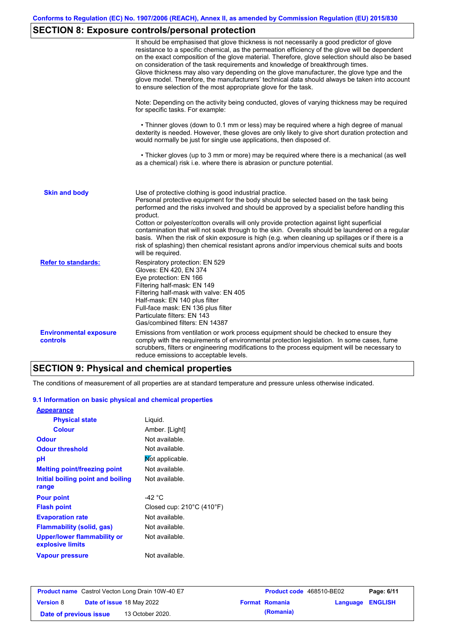# **SECTION 8: Exposure controls/personal protection**

|                                                  | It should be emphasised that glove thickness is not necessarily a good predictor of glove<br>resistance to a specific chemical, as the permeation efficiency of the glove will be dependent<br>on the exact composition of the glove material. Therefore, glove selection should also be based<br>on consideration of the task requirements and knowledge of breakthrough times.<br>Glove thickness may also vary depending on the glove manufacturer, the glove type and the<br>glove model. Therefore, the manufacturers' technical data should always be taken into account<br>to ensure selection of the most appropriate glove for the task.                                     |
|--------------------------------------------------|---------------------------------------------------------------------------------------------------------------------------------------------------------------------------------------------------------------------------------------------------------------------------------------------------------------------------------------------------------------------------------------------------------------------------------------------------------------------------------------------------------------------------------------------------------------------------------------------------------------------------------------------------------------------------------------|
|                                                  | Note: Depending on the activity being conducted, gloves of varying thickness may be required<br>for specific tasks. For example:                                                                                                                                                                                                                                                                                                                                                                                                                                                                                                                                                      |
|                                                  | • Thinner gloves (down to 0.1 mm or less) may be required where a high degree of manual<br>dexterity is needed. However, these gloves are only likely to give short duration protection and<br>would normally be just for single use applications, then disposed of.                                                                                                                                                                                                                                                                                                                                                                                                                  |
|                                                  | • Thicker gloves (up to 3 mm or more) may be required where there is a mechanical (as well<br>as a chemical) risk i.e. where there is abrasion or puncture potential.                                                                                                                                                                                                                                                                                                                                                                                                                                                                                                                 |
| <b>Skin and body</b>                             | Use of protective clothing is good industrial practice.<br>Personal protective equipment for the body should be selected based on the task being<br>performed and the risks involved and should be approved by a specialist before handling this<br>product.<br>Cotton or polyester/cotton overalls will only provide protection against light superficial<br>contamination that will not soak through to the skin. Overalls should be laundered on a regular<br>basis. When the risk of skin exposure is high (e.g. when cleaning up spillages or if there is a<br>risk of splashing) then chemical resistant aprons and/or impervious chemical suits and boots<br>will be required. |
| <b>Refer to standards:</b>                       | Respiratory protection: EN 529<br>Gloves: EN 420, EN 374<br>Eye protection: EN 166<br>Filtering half-mask: EN 149<br>Filtering half-mask with valve: EN 405<br>Half-mask: EN 140 plus filter<br>Full-face mask: EN 136 plus filter<br>Particulate filters: EN 143<br>Gas/combined filters: EN 14387                                                                                                                                                                                                                                                                                                                                                                                   |
| <b>Environmental exposure</b><br><b>controls</b> | Emissions from ventilation or work process equipment should be checked to ensure they<br>comply with the requirements of environmental protection legislation. In some cases, fume<br>scrubbers, filters or engineering modifications to the process equipment will be necessary to<br>reduce emissions to acceptable levels.                                                                                                                                                                                                                                                                                                                                                         |

### **SECTION 9: Physical and chemical properties**

The conditions of measurement of all properties are at standard temperature and pressure unless otherwise indicated.

#### **9.1 Information on basic physical and chemical properties**

| <b>Appearance</b>                               |                                     |
|-------------------------------------------------|-------------------------------------|
| <b>Physical state</b>                           | Liquid.                             |
| <b>Colour</b>                                   | Amber. [Light]                      |
| Odour                                           | Not available.                      |
| <b>Odour threshold</b>                          | Not available.                      |
| рH                                              | Mot applicable.                     |
| <b>Melting point/freezing point</b>             | Not available.                      |
| Initial boiling point and boiling               | Not available.                      |
| range                                           |                                     |
| <b>Pour point</b>                               | -42 °C                              |
| <b>Flash point</b>                              | Closed cup: $210^{\circ}$ C (410°F) |
| <b>Evaporation rate</b>                         | Not available.                      |
| Flammability (solid, gas)                       | Not available.                      |
| Upper/lower flammability or<br>explosive limits | Not available.                      |
| <b>Vapour pressure</b>                          | Not available.                      |

|                        | <b>Product name</b> Castrol Vecton Long Drain 10W-40 E7 | <b>Product code</b> 468510-BE02 |                         | Page: 6/11 |
|------------------------|---------------------------------------------------------|---------------------------------|-------------------------|------------|
| <b>Version 8</b>       | <b>Date of issue 18 May 2022</b>                        | <b>Format Romania</b>           | <b>Language ENGLISH</b> |            |
| Date of previous issue | 13 October 2020.                                        | (Romania)                       |                         |            |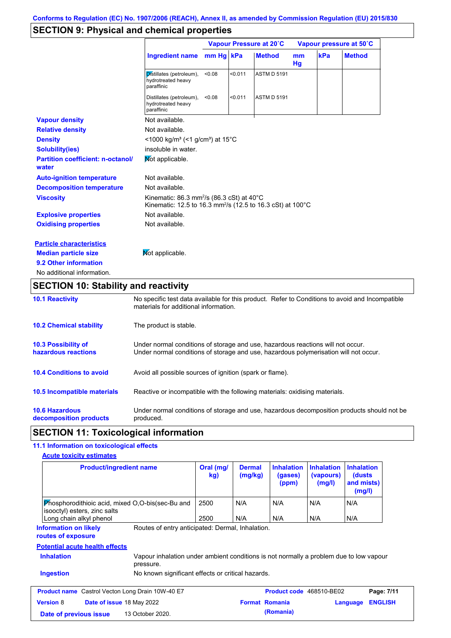# **SECTION 9: Physical and chemical properties**

|                                                   | Vapour Pressure at 20°C                                                                                                                   |           |         | Vapour pressure at 50°C |          |     |               |
|---------------------------------------------------|-------------------------------------------------------------------------------------------------------------------------------------------|-----------|---------|-------------------------|----------|-----|---------------|
|                                                   | <b>Ingredient name</b>                                                                                                                    | mm Hg kPa |         | <b>Method</b>           | mm<br>Hg | kPa | <b>Method</b> |
|                                                   | Distillates (petroleum),<br>hydrotreated heavy<br>paraffinic                                                                              | < 0.08    | < 0.011 | <b>ASTM D 5191</b>      |          |     |               |
|                                                   | Distillates (petroleum),<br>hydrotreated heavy<br>paraffinic                                                                              | < 0.08    | < 0.011 | <b>ASTM D 5191</b>      |          |     |               |
| <b>Vapour density</b>                             | Not available.                                                                                                                            |           |         |                         |          |     |               |
| <b>Relative density</b>                           | Not available.                                                                                                                            |           |         |                         |          |     |               |
| <b>Density</b>                                    | $\leq$ 1000 kg/m <sup>3</sup> (<1 g/cm <sup>3</sup> ) at 15 <sup>°</sup> C                                                                |           |         |                         |          |     |               |
| <b>Solubility(ies)</b>                            | insoluble in water.                                                                                                                       |           |         |                         |          |     |               |
| <b>Partition coefficient: n-octanol/</b><br>water | Mot applicable.                                                                                                                           |           |         |                         |          |     |               |
| <b>Auto-ignition temperature</b>                  | Not available.                                                                                                                            |           |         |                         |          |     |               |
| <b>Decomposition temperature</b>                  | Not available.                                                                                                                            |           |         |                         |          |     |               |
| <b>Viscosity</b>                                  | Kinematic: 86.3 mm <sup>2</sup> /s (86.3 cSt) at $40^{\circ}$ C<br>Kinematic: 12.5 to 16.3 mm <sup>2</sup> /s (12.5 to 16.3 cSt) at 100°C |           |         |                         |          |     |               |
| <b>Explosive properties</b>                       | Not available.                                                                                                                            |           |         |                         |          |     |               |
| <b>Oxidising properties</b>                       | Not available.                                                                                                                            |           |         |                         |          |     |               |
| <b>Particle characteristics</b>                   |                                                                                                                                           |           |         |                         |          |     |               |
| <b>Median particle size</b>                       | Not applicable.                                                                                                                           |           |         |                         |          |     |               |
| 9.2 Other information                             |                                                                                                                                           |           |         |                         |          |     |               |
| No additional information.                        |                                                                                                                                           |           |         |                         |          |     |               |

# **SECTION 10: Stability and reactivity**

| <b>10.1 Reactivity</b>                            | No specific test data available for this product. Refer to Conditions to avoid and Incompatible<br>materials for additional information.                                |
|---------------------------------------------------|-------------------------------------------------------------------------------------------------------------------------------------------------------------------------|
| <b>10.2 Chemical stability</b>                    | The product is stable.                                                                                                                                                  |
| <b>10.3 Possibility of</b><br>hazardous reactions | Under normal conditions of storage and use, hazardous reactions will not occur.<br>Under normal conditions of storage and use, hazardous polymerisation will not occur. |
| <b>10.4 Conditions to avoid</b>                   | Avoid all possible sources of ignition (spark or flame).                                                                                                                |
| 10.5 Incompatible materials                       | Reactive or incompatible with the following materials: oxidising materials.                                                                                             |
| <b>10.6 Hazardous</b><br>decomposition products   | Under normal conditions of storage and use, hazardous decomposition products should not be<br>produced.                                                                 |

# **SECTION 11: Toxicological information**

### **11.1 Information on toxicological effects**

| <b>Product/ingredient name</b>                                                                                                                  | Oral (mg/<br>kg) | <b>Dermal</b><br>(mg/kg) | <b>Inhalation</b><br>(gases)<br>(ppm) | <b>Inhalation</b><br>(vapours)<br>(mg/l) | <b>Inhalation</b><br>(dusts)<br>and mists)<br>(mg/l) |
|-------------------------------------------------------------------------------------------------------------------------------------------------|------------------|--------------------------|---------------------------------------|------------------------------------------|------------------------------------------------------|
| Phosphorodithioic acid, mixed O,O-bis(sec-Bu and<br>isooctyl) esters, zinc salts                                                                | 2500             | N/A                      | N/A                                   | N/A                                      | N/A                                                  |
| Long chain alkyl phenol                                                                                                                         | 2500             | N/A                      | N/A                                   | N/A                                      | N/A                                                  |
| Routes of entry anticipated: Dermal, Inhalation.<br><b>Information on likely</b><br>routes of exposure<br><b>Potential acute health effects</b> |                  |                          |                                       |                                          |                                                      |
| <b>Inhalation</b><br>Vapour inhalation under ambient conditions is not normally a problem due to low vapour<br>pressure.                        |                  |                          |                                       |                                          |                                                      |
| <b>Ingestion</b><br>No known significant effects or critical hazards.                                                                           |                  |                          |                                       |                                          |                                                      |
| <b>Product name</b> Castrol Vecton Long Drain 10W-40 E7                                                                                         |                  |                          | Product code 468510-BE02              |                                          | Page: 7/11                                           |
| <b>Version 8</b><br><b>Date of issue 18 May 2022</b>                                                                                            |                  |                          | <b>Format Romania</b>                 |                                          | <b>ENGLISH</b><br>Language                           |
| 13 October 2020.<br>Date of previous issue                                                                                                      |                  |                          | (Romania)                             |                                          |                                                      |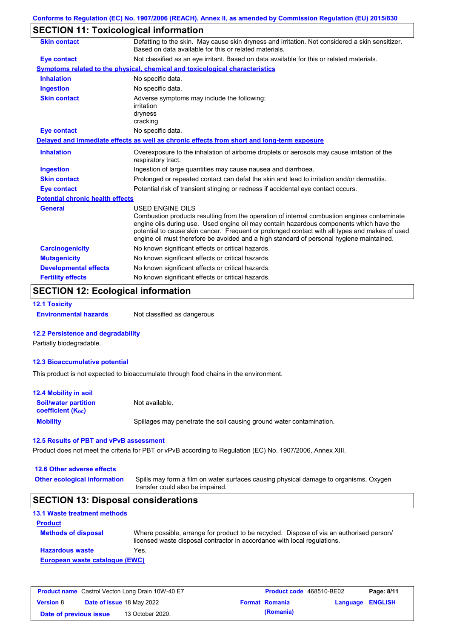## **SECTION 11: Toxicological information**

| <b>Skin contact</b>                     | Defatting to the skin. May cause skin dryness and irritation. Not considered a skin sensitizer.<br>Based on data available for this or related materials.                                                                                                                                                                                                                                                       |
|-----------------------------------------|-----------------------------------------------------------------------------------------------------------------------------------------------------------------------------------------------------------------------------------------------------------------------------------------------------------------------------------------------------------------------------------------------------------------|
| Eye contact                             | Not classified as an eye irritant. Based on data available for this or related materials.                                                                                                                                                                                                                                                                                                                       |
|                                         | Symptoms related to the physical, chemical and toxicological characteristics                                                                                                                                                                                                                                                                                                                                    |
| <b>Inhalation</b>                       | No specific data.                                                                                                                                                                                                                                                                                                                                                                                               |
| <b>Ingestion</b>                        | No specific data.                                                                                                                                                                                                                                                                                                                                                                                               |
| <b>Skin contact</b>                     | Adverse symptoms may include the following:<br>irritation<br>dryness<br>cracking                                                                                                                                                                                                                                                                                                                                |
| <b>Eye contact</b>                      | No specific data.                                                                                                                                                                                                                                                                                                                                                                                               |
|                                         | Delayed and immediate effects as well as chronic effects from short and long-term exposure                                                                                                                                                                                                                                                                                                                      |
| <b>Inhalation</b>                       | Overexposure to the inhalation of airborne droplets or aerosols may cause irritation of the<br>respiratory tract.                                                                                                                                                                                                                                                                                               |
| <b>Ingestion</b>                        | Ingestion of large quantities may cause nausea and diarrhoea.                                                                                                                                                                                                                                                                                                                                                   |
| <b>Skin contact</b>                     | Prolonged or repeated contact can defat the skin and lead to irritation and/or dermatitis.                                                                                                                                                                                                                                                                                                                      |
| <b>Eye contact</b>                      | Potential risk of transient stinging or redness if accidental eye contact occurs.                                                                                                                                                                                                                                                                                                                               |
| <b>Potential chronic health effects</b> |                                                                                                                                                                                                                                                                                                                                                                                                                 |
| <b>General</b>                          | <b>USED ENGINE OILS</b><br>Combustion products resulting from the operation of internal combustion engines contaminate<br>engine oils during use. Used engine oil may contain hazardous components which have the<br>potential to cause skin cancer. Frequent or prolonged contact with all types and makes of used<br>engine oil must therefore be avoided and a high standard of personal hygiene maintained. |
| <b>Carcinogenicity</b>                  | No known significant effects or critical hazards.                                                                                                                                                                                                                                                                                                                                                               |
| <b>Mutagenicity</b>                     | No known significant effects or critical hazards.                                                                                                                                                                                                                                                                                                                                                               |
| <b>Developmental effects</b>            | No known significant effects or critical hazards.                                                                                                                                                                                                                                                                                                                                                               |
| <b>Fertility effects</b>                | No known significant effects or critical hazards.                                                                                                                                                                                                                                                                                                                                                               |

# **SECTION 12: Ecological information**

**12.1 Toxicity Environmental hazards** Not classified as dangerous

#### **12.2 Persistence and degradability**

Partially biodegradable.

#### **12.3 Bioaccumulative potential**

This product is not expected to bioaccumulate through food chains in the environment.

| <b>12.4 Mobility in soil</b>                                  |                                                                      |
|---------------------------------------------------------------|----------------------------------------------------------------------|
| <b>Soil/water partition</b><br>coefficient (K <sub>oc</sub> ) | Not available.                                                       |
| <b>Mobility</b>                                               | Spillages may penetrate the soil causing ground water contamination. |

#### **12.5 Results of PBT and vPvB assessment**

Product does not meet the criteria for PBT or vPvB according to Regulation (EC) No. 1907/2006, Annex XIII.

### **12.6 Other adverse effects**

**Other ecological information**

Spills may form a film on water surfaces causing physical damage to organisms. Oxygen transfer could also be impaired.

### **SECTION 13: Disposal considerations**

| <b>13.1 Waste treatment methods</b> |                                                                                                                                                                      |
|-------------------------------------|----------------------------------------------------------------------------------------------------------------------------------------------------------------------|
| <b>Product</b>                      |                                                                                                                                                                      |
| <b>Methods of disposal</b>          | Where possible, arrange for product to be recycled. Dispose of via an authorised person/<br>licensed waste disposal contractor in accordance with local regulations. |
| <b>Hazardous waste</b>              | Yes.                                                                                                                                                                 |
| European waste catalogue (EWC)      |                                                                                                                                                                      |

| <b>Product name</b> Castrol Vecton Long Drain 10W-40 E7 |  | <b>Product code</b> 468510-BE02  |  | Page: 8/11            |                         |  |
|---------------------------------------------------------|--|----------------------------------|--|-----------------------|-------------------------|--|
| <b>Version 8</b>                                        |  | <b>Date of issue 18 May 2022</b> |  | <b>Format Romania</b> | <b>Language ENGLISH</b> |  |
| Date of previous issue                                  |  | 13 October 2020.                 |  | (Romania)             |                         |  |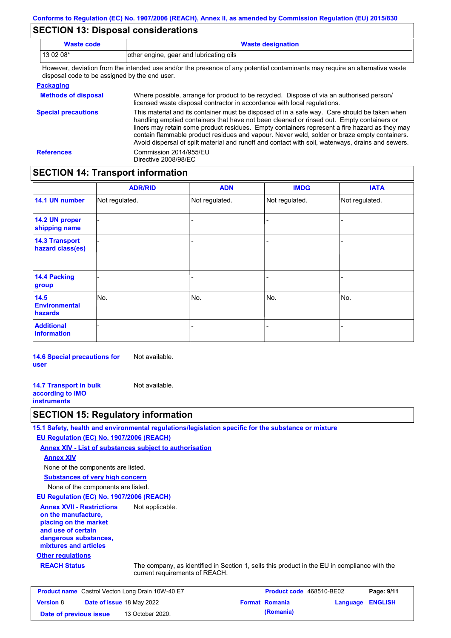## **SECTION 13: Disposal considerations**

| Waste code | <b>Waste designation</b>                                                                                                    |
|------------|-----------------------------------------------------------------------------------------------------------------------------|
| $130208*$  | other engine, gear and lubricating oils                                                                                     |
|            | However, deviation from the intended use and/or the presence of any potential contaminants may require an alternative waste |

the presence of any potential contaminants may disposal code to be assigned by the end user.

#### **Packaging**

| <b>Methods of disposal</b> | Where possible, arrange for product to be recycled. Dispose of via an authorised person/<br>licensed waste disposal contractor in accordance with local regulations.                                                                                                                                                                                                                                                                                                                            |
|----------------------------|-------------------------------------------------------------------------------------------------------------------------------------------------------------------------------------------------------------------------------------------------------------------------------------------------------------------------------------------------------------------------------------------------------------------------------------------------------------------------------------------------|
| <b>Special precautions</b> | This material and its container must be disposed of in a safe way. Care should be taken when<br>handling emptied containers that have not been cleaned or rinsed out. Empty containers or<br>liners may retain some product residues. Empty containers represent a fire hazard as they may<br>contain flammable product residues and vapour. Never weld, solder or braze empty containers.<br>Avoid dispersal of spilt material and runoff and contact with soil, waterways, drains and sewers. |
| <b>References</b>          | Commission 2014/955/EU<br>Directive 2008/98/EC                                                                                                                                                                                                                                                                                                                                                                                                                                                  |

## **SECTION 14: Transport information**

|                                           | <b>ADR/RID</b> | <b>ADN</b>     | <b>IMDG</b>    | <b>IATA</b>    |
|-------------------------------------------|----------------|----------------|----------------|----------------|
| 14.1 UN number                            | Not regulated. | Not regulated. | Not regulated. | Not regulated. |
| 14.2 UN proper<br>shipping name           |                |                | -              |                |
| <b>14.3 Transport</b><br>hazard class(es) |                |                | $\blacksquare$ |                |
| 14.4 Packing<br>group                     |                |                | -              |                |
| $14.5$<br><b>Environmental</b><br>hazards | No.            | No.            | No.            | No.            |
| <b>Additional</b><br>information          |                |                |                |                |

**14.6 Special precautions for user** Not available.

**14.7 Transport in bulk according to IMO instruments** Not available.

### **SECTION 15: Regulatory information**

**15.1 Safety, health and environmental regulations/legislation specific for the substance or mixture**

#### **EU Regulation (EC) No. 1907/2006 (REACH)**

**Annex XIV - List of substances subject to authorisation**

#### **Annex XIV**

None of the components are listed.

**Substances of very high concern**

None of the components are listed.

#### **EU Regulation (EC) No. 1907/2006 (REACH)**

**Annex XVII - Restrictions on the manufacture, placing on the market and use of certain dangerous substances, mixtures and articles** Not applicable.

### **Other regulations**

**REACH Status** The company, as identified in Section 1, sells this product in the EU in compliance with the current requirements of REACH.

| <b>Product name</b> Castrol Vecton Long Drain 10W-40 E7 |  |                                  | <b>Product code</b> 468510-BE02 | Page: 9/11            |                         |  |
|---------------------------------------------------------|--|----------------------------------|---------------------------------|-----------------------|-------------------------|--|
| <b>Version 8</b>                                        |  | <b>Date of issue 18 May 2022</b> |                                 | <b>Format Romania</b> | <b>Language ENGLISH</b> |  |
| Date of previous issue                                  |  | 13 October 2020.                 |                                 | (Romania)             |                         |  |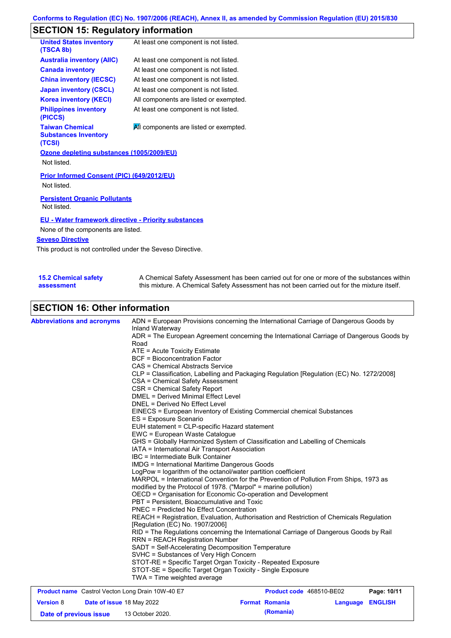# **SECTION 15: Regulatory information**

| <b>United States inventory</b><br>(TSCA 8b)                     | At least one component is not listed.  |
|-----------------------------------------------------------------|----------------------------------------|
| <b>Australia inventory (AIIC)</b>                               | At least one component is not listed.  |
| <b>Canada inventory</b>                                         | At least one component is not listed.  |
| <b>China inventory (IECSC)</b>                                  | At least one component is not listed.  |
| <b>Japan inventory (CSCL)</b>                                   | At least one component is not listed.  |
| <b>Korea inventory (KECI)</b>                                   | All components are listed or exempted. |
| <b>Philippines inventory</b><br>(PICCS)                         | At least one component is not listed.  |
| <b>Taiwan Chemical</b><br><b>Substances Inventory</b><br>(TCSI) | All components are listed or exempted. |
| Ozone depleting substances (1005/2009/EU)                       |                                        |
| Not listed.                                                     |                                        |
| Prior Informed Consent (PIC) (649/2012/EU)<br>Not listed.       |                                        |
| <b>Persistent Organic Pollutants</b><br>Not listed.             |                                        |
| <b>EU - Water framework directive - Priority substances</b>     |                                        |
| None of the components are listed.                              |                                        |
| <b>Seveso Directive</b>                                         |                                        |

This product is not controlled under the Seveso Directive.

| <b>15.2 Chemical safety</b> | A Chemical Safety Assessment has been carried out for one or more of the substances within  |
|-----------------------------|---------------------------------------------------------------------------------------------|
| assessment                  | this mixture. A Chemical Safety Assessment has not been carried out for the mixture itself. |

# **SECTION 16: Other information**

| <b>Abbreviations and acronyms</b> | ADN = European Provisions concerning the International Carriage of Dangerous Goods by<br>Inland Waterway<br>ADR = The European Agreement concerning the International Carriage of Dangerous Goods by<br>Road<br>ATE = Acute Toxicity Estimate<br><b>BCF</b> = Bioconcentration Factor<br>CAS = Chemical Abstracts Service<br>CLP = Classification, Labelling and Packaging Regulation [Regulation (EC) No. 1272/2008]<br>CSA = Chemical Safety Assessment<br>CSR = Chemical Safety Report<br><b>DMEL = Derived Minimal Effect Level</b><br>DNEL = Derived No Effect Level<br>EINECS = European Inventory of Existing Commercial chemical Substances<br>ES = Exposure Scenario<br>EUH statement = CLP-specific Hazard statement<br>EWC = European Waste Catalogue<br>GHS = Globally Harmonized System of Classification and Labelling of Chemicals<br>IATA = International Air Transport Association<br>IBC = Intermediate Bulk Container<br><b>IMDG</b> = International Maritime Dangerous Goods<br>LogPow = logarithm of the octanol/water partition coefficient<br>MARPOL = International Convention for the Prevention of Pollution From Ships, 1973 as<br>modified by the Protocol of 1978. ("Marpol" = marine pollution)<br>OECD = Organisation for Economic Co-operation and Development<br>PBT = Persistent, Bioaccumulative and Toxic<br><b>PNEC</b> = Predicted No Effect Concentration<br>REACH = Registration, Evaluation, Authorisation and Restriction of Chemicals Regulation<br>[Regulation (EC) No. 1907/2006]<br>RID = The Regulations concerning the International Carriage of Dangerous Goods by Rail<br><b>RRN = REACH Registration Number</b><br>SADT = Self-Accelerating Decomposition Temperature<br>SVHC = Substances of Very High Concern<br>STOT-RE = Specific Target Organ Toxicity - Repeated Exposure |
|-----------------------------------|------------------------------------------------------------------------------------------------------------------------------------------------------------------------------------------------------------------------------------------------------------------------------------------------------------------------------------------------------------------------------------------------------------------------------------------------------------------------------------------------------------------------------------------------------------------------------------------------------------------------------------------------------------------------------------------------------------------------------------------------------------------------------------------------------------------------------------------------------------------------------------------------------------------------------------------------------------------------------------------------------------------------------------------------------------------------------------------------------------------------------------------------------------------------------------------------------------------------------------------------------------------------------------------------------------------------------------------------------------------------------------------------------------------------------------------------------------------------------------------------------------------------------------------------------------------------------------------------------------------------------------------------------------------------------------------------------------------------------------------------------------------------------------------------------------------------------------|
|                                   | STOT-SE = Specific Target Organ Toxicity - Single Exposure<br>TWA = Time weighted average                                                                                                                                                                                                                                                                                                                                                                                                                                                                                                                                                                                                                                                                                                                                                                                                                                                                                                                                                                                                                                                                                                                                                                                                                                                                                                                                                                                                                                                                                                                                                                                                                                                                                                                                          |

| <b>Product name</b> Castrol Vecton Long Drain 10W-40 E7 |  |                                  | <b>Product code</b> 468510-BE02 | Page: 10/11           |                         |  |
|---------------------------------------------------------|--|----------------------------------|---------------------------------|-----------------------|-------------------------|--|
| <b>Version 8</b>                                        |  | <b>Date of issue 18 May 2022</b> |                                 | <b>Format Romania</b> | <b>Language ENGLISH</b> |  |
| Date of previous issue                                  |  | 13 October 2020.                 |                                 | (Romania)             |                         |  |